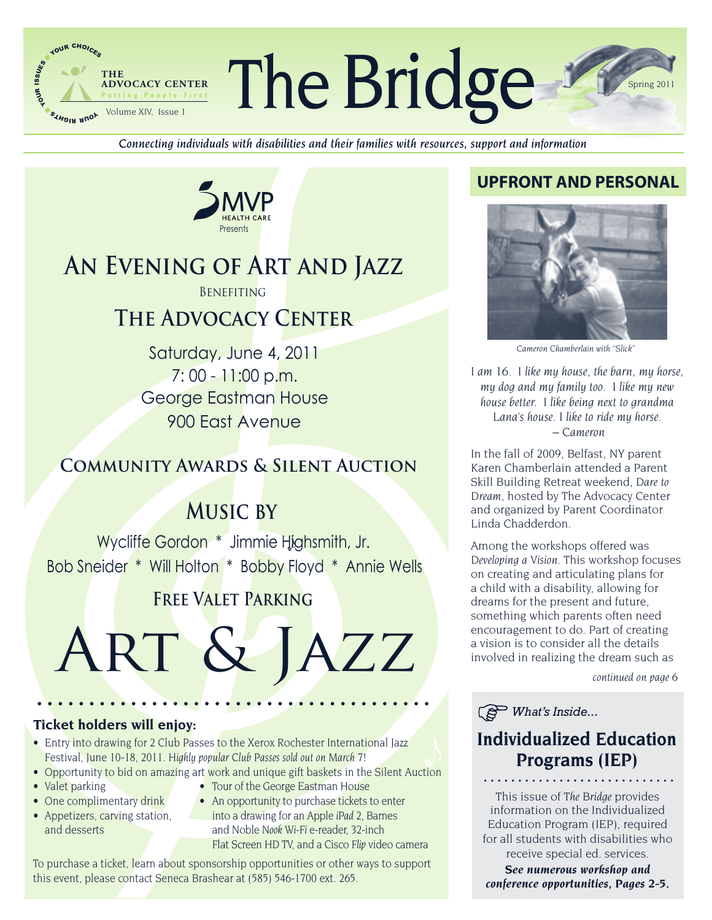

Connecting individuals with disabilities and their families with resources, support and information



# AN EVENING OF ART AND JAZZ

**BENEFITING** 

# **THE ADVOCACY CENTER**

Saturday, June 4, 2011  $7:00 - 11:00 p.m.$ George Eastman House 900 East Avenue

# **COMMUNITY AWARDS & SILENT AUCTION**

# **MUSIC BY**

Wycliffe Gordon \* Jimmie Highsmith, Jr. Bob Sneider \* Will Holton \* Bobby Floyd \* Annie Wells

# **FREE VALET PARKING**



## **Ticket holders will enjoy:**

- Entry into drawing for 2 Club Passes to the Xerox Rochester International Jazz Festival, June 10-18, 2011. Highly popular Club Passes sold out on March 7!
- Opportunity to bid on amazing art work and unique gift baskets in the Silent Auction
- Valet parking
- One complimentary drink
- Appetizers, carving station, and desserts
- Tour of the George Eastman House
- An opportunity to purchase tickets to enter into a drawing for an Apple iPad 2, Barnes and Noble Nook Wi-Fi e-reader, 32-inch Flat Screen HD TV, and a Cisco Flip video camera

To purchase a ticket, learn about sponsorship opportunities or other ways to support this event, please contact Seneca Brashear at (585) 546-1700 ext. 265.

## **UPFRONT AND PERSONAL**



Cameron Chamberlain with "Slick"

I am 16. I like my house, the barn, my horse, my dog and my family too. I like my new house better. I like being next to grandma Lana's house. I like to ride my horse.  $-$  Cameron

In the fall of 2009, Belfast, NY parent Karen Chamberlain attended a Parent Skill Building Retreat weekend, Dare to Dream, hosted by The Advocacy Center and organized by Parent Coordinator Linda Chadderdon.

Among the workshops offered was Developing a Vision. This workshop focuses on creating and articulating plans for a child with a disability, allowing for dreams for the present and future. something which parents often need encouragement to do. Part of creating a vision is to consider all the details involved in realizing the dream such as

continued on page 6

 $\circled{S}$  What's Inside...

## **Individualized Education Programs (IEP)**

This issue of The Bridge provides information on the Individualized Education Program (IEP), required for all students with disabilities who receive special ed. services.

See numerous workshop and conference opportunities, Pages 2-5.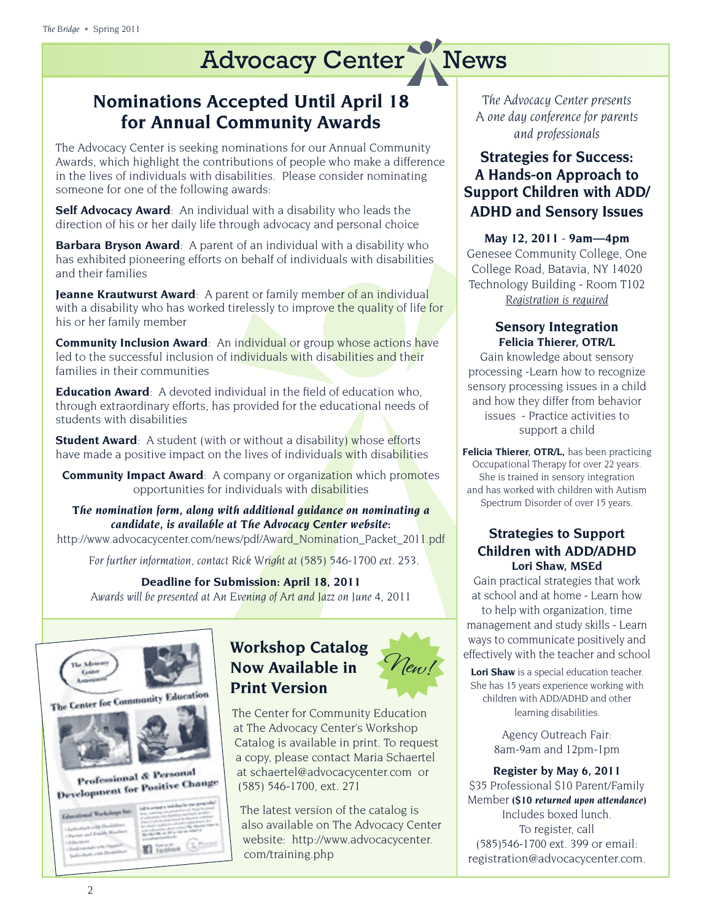# **Nominations Accepted Until April 18 for Annual Community Awards**

The Advocacy Center is seeking nominations for our Annual Community Awards, which highlight the contributions of people who make a difference in the lives of individuals with disabilities. Please consider nominating someone for one of the following awards:

**Self Advocacy Award**: An individual with a disability who leads the direction of his or her daily life through advocacy and personal choice

**Barbara Bryson Award**: A parent of an individual with a disability who has exhibited pioneering efforts on behalf of individuals with disabilities and their families

**Jeanne Krautwurst Award**: A parent or family member of an individual with a disability who has worked tirelessly to improve the quality of life for his or her family member

**Community Inclusion Award**: An individual or group whose actions have led to the successful inclusion of individuals with disabilities and their families in their communities

**Education Award**: A devoted individual in the field of education who, through extraordinary efforts, has provided for the educational needs of students with disabilities

**Student Award**: A student (with or without a disability) whose efforts have made a positive impact on the lives of individuals with disabilities

**Community Impact Award**: A company or organization which promotes opportunities for individuals with disabilities

*The nomination form, along with additional guidance on nominating a candidate, is available at The Advocacy Center website:* 

http://www.advocacycenter.com/news/pdf/Award Nomination Packet 2011.pdf

 *For further information, contact Rick Wright at (585) 546-1700 ext. 253.*

**Deadline for Submission: April 18, 2011** *Awards will be presented at An Evening of Art and Jazz on June 4, 2011*



## **Workshop Catalog Now Available in Print Version**

The Center for Community Education at The Advocacy Center's Workshop Catalog is available in print. To request a copy, please contact Maria Schaertel at schaertel@advocacycenter.com or (585) 546-1700, ext. 271

The latest version of the catalog is also available on The Advocacy Center website: http://www.advocacycenter. com/training.php

*The Advocacy Center presents A one day conference for parents and professionals*

## **Strategies for Success: A Hands-on Approach to Support Children with ADD/ ADHD and Sensory Issues**

**May 12, 2011** - **9am—4pm** Genesee Community College, One College Road, Batavia, NY 14020 Technology Building - Room T102 *Registration is required*

#### **Sensory Integration Felicia Thierer, OTR/L**

Gain knowledge about sensory processing -Learn how to recognize sensory processing issues in a child and how they differ from behavior issues - Practice activities to support a child

**Felicia Thierer, OTR/L,** has been practicing Occupational Therapy for over 22 years. She is trained in sensory integration and has worked with children with Autism Spectrum Disorder of over 15 years.

## **Strategies to Support Children with ADD/ADHD Lori Shaw, MSEd**

Gain practical strategies that work at school and at home - Learn how to help with organization, time management and study skills - Learn ways to communicate positively and effectively with the teacher and school

**Lori Shaw** is a special education teacher. She has 15 years experience working with children with ADD/ADHD and other learning disabilities.

> Agency Outreach Fair: 8am-9am and 12pm-1pm

**Register by May 6, 2011**  \$35 Professional \$10 Parent/Family Member *(\$10 returned upon attendance)*  Includes boxed lunch. To register, call (585)546-1700 ext. 399 or email: registration@advocacycenter.com.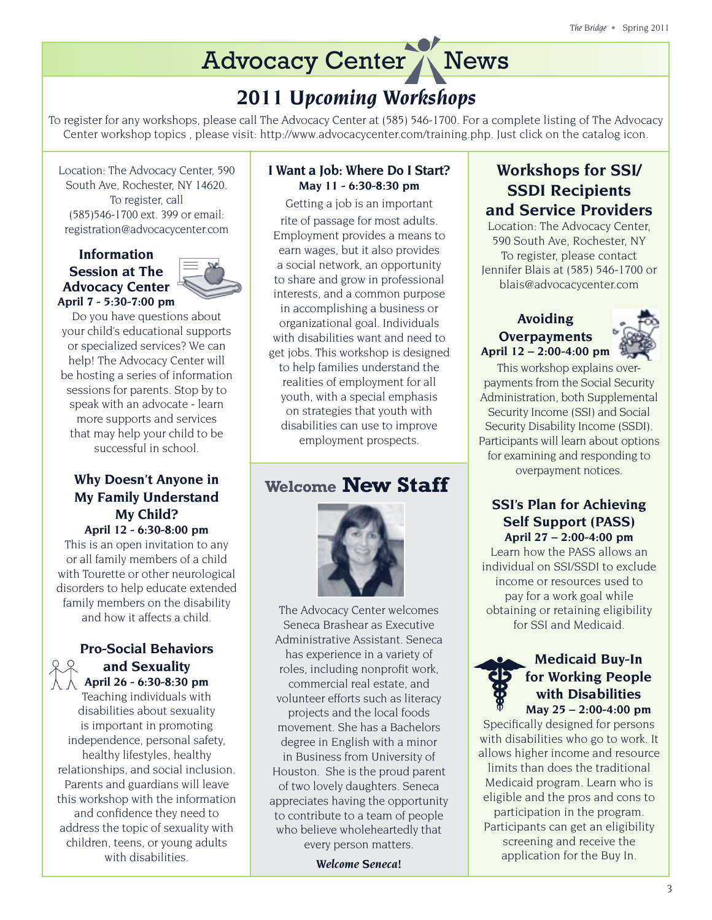# *2011 Upcoming Workshops*

To register for any workshops, please call The Advocacy Center at (585) 546-1700. For a complete listing of The Advocacy Center workshop topics , please visit: http://www.advocacycenter.com/training.php. Just click on the catalog icon.

Location: The Advocacy Center, 590 South Ave, Rochester, NY 14620. To register, call (585)546-1700 ext. 399 or email: registration@advocacycenter.com

#### **Information Session at The Advocacy Center April 7 - 5:30-7:00 pm**



Do you have questions about your child's educational supports or specialized services? We can help! The Advocacy Center will be hosting a series of information sessions for parents. Stop by to speak with an advocate - learn more supports and services that may help your child to be successful in school.

### **Why Doesn't Anyone in My Family Understand My Child? April 12 - 6:30-8:00 pm**

This is an open invitation to any or all family members of a child with Tourette or other neurological disorders to help educate extended family members on the disability and how it affects a child.

## **Pro-Social Behaviors and Sexuality April 26 - 6:30-8:30 pm**

Teaching individuals with disabilities about sexuality is important in promoting independence, personal safety, healthy lifestyles, healthy relationships, and social inclusion. Parents and guardians will leave this workshop with the information and confidence they need to address the topic of sexuality with children, teens, or young adults with disabilities.

## **I Want a Job: Where Do I Start? May 11 - 6:30-8:30 pm**

Getting a job is an important rite of passage for most adults. Employment provides a means to earn wages, but it also provides a social network, an opportunity to share and grow in professional interests, and a common purpose in accomplishing a business or organizational goal. Individuals with disabilities want and need to get jobs. This workshop is designed to help families understand the realities of employment for all youth, with a special emphasis on strategies that youth with disabilities can use to improve employment prospects.

# **Welcome New Staff**



The Advocacy Center welcomes Seneca Brashear as Executive Administrative Assistant. Seneca has experience in a variety of roles, including nonprofit work, commercial real estate, and volunteer efforts such as literacy projects and the local foods movement. She has a Bachelors degree in English with a minor in Business from University of Houston. She is the proud parent of two lovely daughters. Seneca appreciates having the opportunity to contribute to a team of people who believe wholeheartedly that every person matters.

*Welcome Seneca!*

## **Workshops for SSI/ SSDI Recipients and Service Providers**

Location: The Advocacy Center, 590 South Ave, Rochester, NY To register, please contact Jennifer Blais at (585) 546-1700 or blais@advocacycenter.com

### **Avoiding Overpayments April 12 – 2:00-4:00 pm**



This workshop explains overpayments from the Social Security Administration, both Supplemental Security Income (SSI) and Social Security Disability Income (SSDI). Participants will learn about options for examining and responding to overpayment notices.

## **SSI's Plan for Achieving Self Support (PASS) April 27 – 2:00-4:00 pm**

Learn how the PASS allows an individual on SSI/SSDI to exclude income or resources used to pay for a work goal while obtaining or retaining eligibility for SSI and Medicaid.

### **Medicaid Buy-In for Working People with Disabilities May 25 – 2:00-4:00 pm**

Specifically designed for persons with disabilities who go to work. It allows higher income and resource limits than does the traditional Medicaid program. Learn who is eligible and the pros and cons to participation in the program. Participants can get an eligibility screening and receive the application for the Buy In.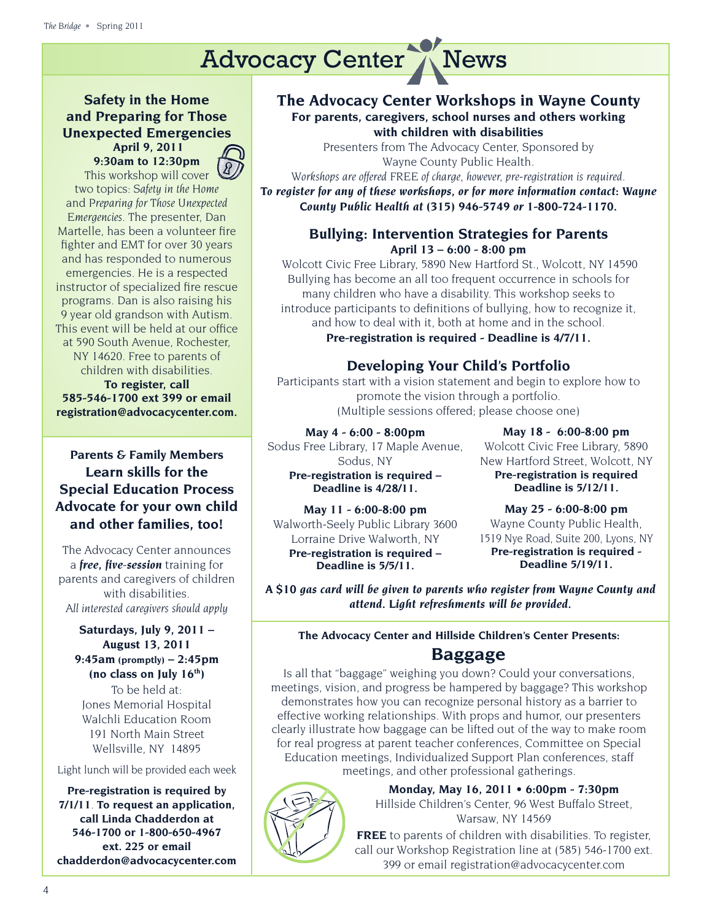## **Safety in the Home and Preparing for Those Unexpected Emergencies April 9, 2011**

**9:30am to 12:30pm**  This workshop will cover two topics: *Safety in the Home* and *Preparing for Those Unexpected Emergencies.* The presenter, Dan Martelle, has been a volunteer fire fighter and EMT for over 30 years and has responded to numerous emergencies. He is a respected instructor of specialized fire rescue programs. Dan is also raising his 9 year old grandson with Autism. This event will be held at our office at 590 South Avenue, Rochester, NY 14620. Free to parents of children with disabilities.

**To register, call 585-546-1700 ext 399 or email registration@advocacycenter.com.** 

## **Parents & Family Members Learn skills for the Special Education Process Advocate for your own child and other families, too!**

The Advocacy Center announces a *free, five-session* training for parents and caregivers of children with disabilities. *All interested caregivers should apply* 

#### **Saturdays, July 9, 2011 – August 13, 2011 9:45am (promptly) – 2:45pm (no class on July 16th)**

To be held at: Jones Memorial Hospital Walchli Education Room 191 North Main Street Wellsville, NY 14895

Light lunch will be provided each week

**Pre-registration is required by 7/1/11**. **To request an application, call Linda Chadderdon at 546-1700 or 1-800-650-4967 ext. 225 or email chadderdon@advocacycenter.com**

### **The Advocacy Center Workshops in Wayne County For parents, caregivers, school nurses and others working with children with disabilities**

Presenters from The Advocacy Center, Sponsored by Wayne County Public Health.

*Workshops are offered FREE of charge, however, pre-registration is required. To register for any of these workshops, or for more information contact: Wayne County Public Health at (315) 946-5749 or 1-800-724-1170.*

## **Bullying: Intervention Strategies for Parents April 13 – 6:00 - 8:00 pm**

 Wolcott Civic Free Library, 5890 New Hartford St., Wolcott, NY 14590 Bullying has become an all too frequent occurrence in schools for many children who have a disability. This workshop seeks to introduce participants to definitions of bullying, how to recognize it, and how to deal with it, both at home and in the school.

**Pre-registration is required - Deadline is 4/7/11.**

## **Developing Your Child's Portfolio**

Participants start with a vision statement and begin to explore how to promote the vision through a portfolio. (Multiple sessions offered; please choose one)

#### **May 4 - 6:00 - 8:00pm**

Sodus Free Library, 17 Maple Avenue, Sodus, NY **Pre-registration is required – Deadline is 4/28/11.**

**May 18 - 6:00-8:00 pm**  Wolcott Civic Free Library, 5890 New Hartford Street, Wolcott, NY **Pre-registration is required Deadline is 5/12/11.**

**May 11 - 6:00-8:00 pm**  Walworth-Seely Public Library 3600 Lorraine Drive Walworth, NY **Pre-registration is required – Deadline is 5/5/11.**

 $\mathcal{I}$ 

**May 25 - 6:00-8:00 pm**  Wayne County Public Health, 1519 Nye Road, Suite 200, Lyons, NY **Pre-registration is required - Deadline 5/19/11.**

*A \$10 gas card will be given to parents who register from Wayne County and attend. Light refreshments will be provided.*

## **The Advocacy Center and Hillside Children's Center Presents: Baggage**

Is all that "baggage" weighing you down? Could your conversations, meetings, vision, and progress be hampered by baggage? This workshop demonstrates how you can recognize personal history as a barrier to effective working relationships. With props and humor, our presenters clearly illustrate how baggage can be lifted out of the way to make room for real progress at parent teacher conferences, Committee on Special Education meetings, Individualized Support Plan conferences, staff meetings, and other professional gatherings.

> **Monday, May 16, 2011 • 6:00pm - 7:30pm** Hillside Children's Center, 96 West Buffalo Street, Warsaw, NY 14569

**FREE** to parents of children with disabilities. To register, call our Workshop Registration line at (585) 546-1700 ext. 399 or email registration@advocacycenter.com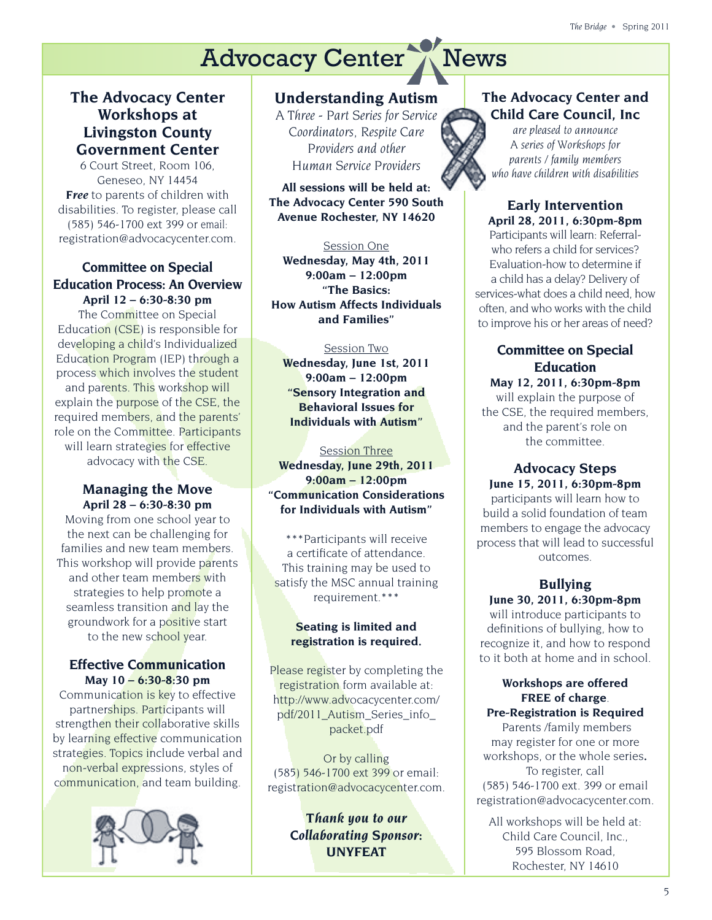## **The Advocacy Center Workshops at Livingston County Government Center**

6 Court Street, Room 106, Geneseo, NY 14454 *Free* to parents of children with disabilities. To register, please call (585) 546-1700 ext 399 or email: registration@advocacycenter.com.

#### **Committee on Special Education Process: An Overview April 12 – 6:30-8:30 pm**

The Committee on Special Education (CSE) is responsible for developing a child's Individualized Education Program (IEP) through a process which involves the student and parents. This workshop will explain the purpose of the CSE, the required members, and the parents' role on the Committee. Participants will learn strategies for effective advocacy with the CSE.

#### **Managing the Move April 28 – 6:30-8:30 pm**

Moving from one school year to the next can be challenging for families and new team members. This workshop will provide parents and other team members with strategies to help promote a seamless transition and lay the groundwork for a positive start to the new school year.

#### **Effective Communication May 10 – 6:30-8:30 pm**

Communication is key to effective partnerships. Participants will strengthen their collaborative skills by learning effective communication strategies. Topics include verbal and non-verbal expressions, styles of communication, and team building.



## **Understanding Autism**

*A Three - Part Series for Service Coordinators, Respite Care Providers and other Human Service Providers*

**All sessions will be held at: The Advocacy Center 590 South Avenue Rochester, NY 14620**

#### Session One

**Wednesday, May 4th, 2011 9:00am – 12:00pm "The Basics: How Autism Affects Individuals and Families"**

#### Session Two

**Wednesday, June 1st, 2011 9:00am – 12:00pm "Sensory Integration and Behavioral Issues for Individuals with Autism"**

#### Session Three

**Wednesday, June 29th, 2011 9:00am – 12:00pm "Communication Considerations for Individuals with Autism"**

\*\*\*Participants will receive a certificate of attendance. This training may be used to satisfy the MSC annual training requirement.\*\*\*

#### **Seating is limited and registration is required.**

Please register by completing the registration form available at: http://www.advocacycenter.com/ pdf/2011\_Autism\_Series\_info\_ packet.pdf

Or by calling (585) 546-1700 ext 399 or email: registration@advocacycenter.com.

> *Thank you to our Collaborating Sponsor: UNYFEAT*

## **The Advocacy Center and Child Care Council, Inc**

*are pleased to announce A series of Workshops for parents / family members who have children with disabilities*

**Early Intervention April 28, 2011, 6:30pm‐8pm**  Participants will learn: Referral‐ who refers a child for services? Evaluation-how to determine if a child has a delay? Delivery of services‐what does a child need, how often, and who works with the child to improve his or her areas of need?

## **Committee on Special Education**

**May 12, 2011, 6:30pm‐8pm** will explain the purpose of the CSE, the required members, and the parent's role on the committee.

**Advocacy Steps June 15, 2011, 6:30pm‐8pm**  participants will learn how to build a solid foundation of team members to engage the advocacy process that will lead to successful outcomes.

## **Bullying June 30, 2011, 6:30pm‐8pm**

will introduce participants to definitions of bullying, how to recognize it, and how to respond to it both at home and in school.

#### **Workshops are offered FREE of charge**. **Pre‐Registration is Required**

 Parents /family members may register for one or more workshops, or the whole series**.**  To register, call (585) 546‐1700 ext. 399 or email registration@advocacycenter.com.

All workshops will be held at: Child Care Council, Inc., 595 Blossom Road, Rochester, NY 14610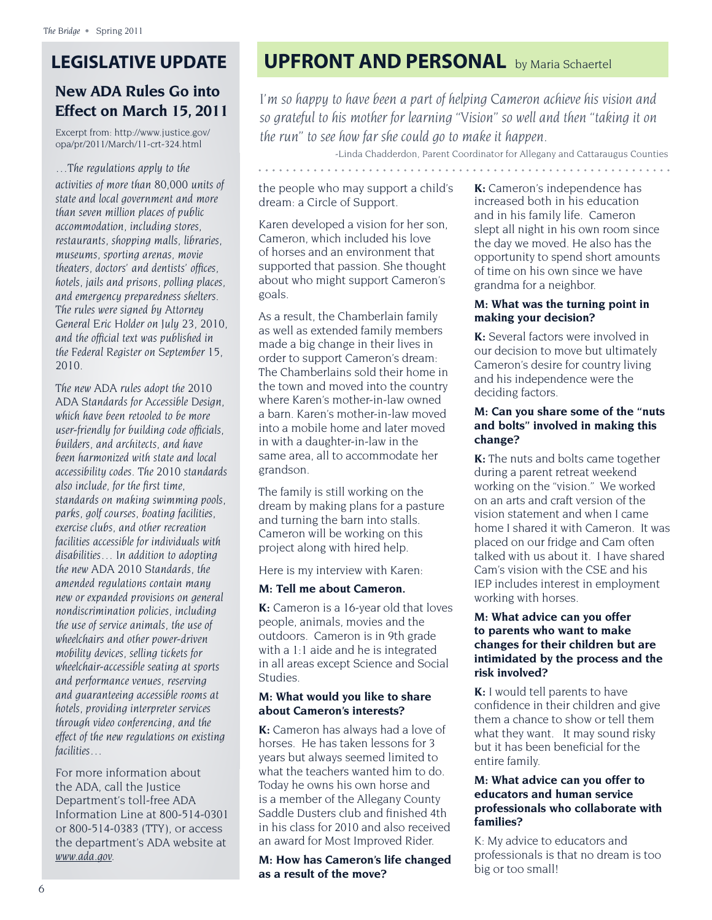# **LEGISLATIVE UPDATE**

## **New ADA Rules Go into Effect on March 15, 2011**

Excerpt from: http://www.justice.gov/ opa/pr/2011/March/11-crt-324.html

*…The regulations apply to the activities of more than 80,000 units of state and local government and more than seven million places of public accommodation, including stores, restaurants, shopping malls, libraries, museums, sporting arenas, movie theaters, doctors' and dentists' of�ces, hotels, jails and prisons, polling places, and emergency preparedness shelters. The rules were signed by Attorney General Eric Holder on July 23, 2010, and the of�cial text was published in the Federal Register on September 15, 2010.*

*The new ADA rules adopt the 2010 ADA Standards for Accessible Design, which have been retooled to be more user-friendly for building code of�cials, builders, and architects, and have been harmonized with state and local accessibility codes. The 2010 standards also include, for the �rst time, standards on making swimming pools, parks, golf courses, boating facilities, exercise clubs, and other recreation facilities accessible for individuals with disabilities… In addition to adopting the new ADA 2010 Standards, the amended regulations contain many new or expanded provisions on general nondiscrimination policies, including the use of service animals, the use of wheelchairs and other power-driven mobility devices, selling tickets for wheelchair-accessible seating at sports and performance venues, reserving and guaranteeing accessible rooms at hotels, providing interpreter services through video conferencing, and the effect of the new regulations on existing facilities…*

For more information about the ADA, call the Justice Department's toll-free ADA Information Line at 800-514-0301 or 800-514-0383 (TTY), or access the department's ADA website at *www.ada.gov.*

# **UPFRONT AND PERSONAL** by Maria Schaertel

*I'm so happy to have been a part of helping Cameron achieve his vision and so grateful to his mother for learning "Vision" so well and then "taking it on the run" to see how far she could go to make it happen.* 

*-*Linda Chadderdon, Parent Coordinator for Allegany and Cattaraugus Counties

the people who may support a child's dream: a Circle of Support.

Karen developed a vision for her son, Cameron, which included his love of horses and an environment that supported that passion. She thought about who might support Cameron's goals.

As a result, the Chamberlain family as well as extended family members made a big change in their lives in order to support Cameron's dream: The Chamberlains sold their home in the town and moved into the country where Karen's mother-in-law owned a barn. Karen's mother-in-law moved into a mobile home and later moved in with a daughter-in-law in the same area, all to accommodate her grandson.

The family is still working on the dream by making plans for a pasture and turning the barn into stalls. Cameron will be working on this project along with hired help.

Here is my interview with Karen:

#### **M: Tell me about Cameron.**

**K:** Cameron is a 16-year old that loves people, animals, movies and the outdoors. Cameron is in 9th grade with a 1:1 aide and he is integrated in all areas except Science and Social Studies.

#### **M: What would you like to share about Cameron's interests?**

**K:** Cameron has always had a love of horses. He has taken lessons for 3 years but always seemed limited to what the teachers wanted him to do. Today he owns his own horse and is a member of the Allegany County Saddle Dusters club and finished 4th in his class for 2010 and also received an award for Most Improved Rider.

**M: How has Cameron's life changed as a result of the move?** 

**K:** Cameron's independence has increased both in his education and in his family life. Cameron slept all night in his own room since the day we moved. He also has the opportunity to spend short amounts of time on his own since we have grandma for a neighbor.

#### **M: What was the turning point in making your decision?**

**K:** Several factors were involved in our decision to move but ultimately Cameron's desire for country living and his independence were the deciding factors.

#### **M: Can you share some of the "nuts and bolts" involved in making this change?**

**K:** The nuts and bolts came together during a parent retreat weekend working on the "vision." We worked on an arts and craft version of the vision statement and when I came home I shared it with Cameron. It was placed on our fridge and Cam often talked with us about it. I have shared Cam's vision with the CSE and his IEP includes interest in employment working with horses.

#### **M: What advice can you offer to parents who want to make changes for their children but are intimidated by the process and the risk involved?**

**K:** I would tell parents to have confidence in their children and give them a chance to show or tell them what they want. It may sound risky but it has been beneficial for the entire family.

#### **M: What advice can you offer to educators and human service professionals who collaborate with families?**

K: My advice to educators and professionals is that no dream is too big or too small!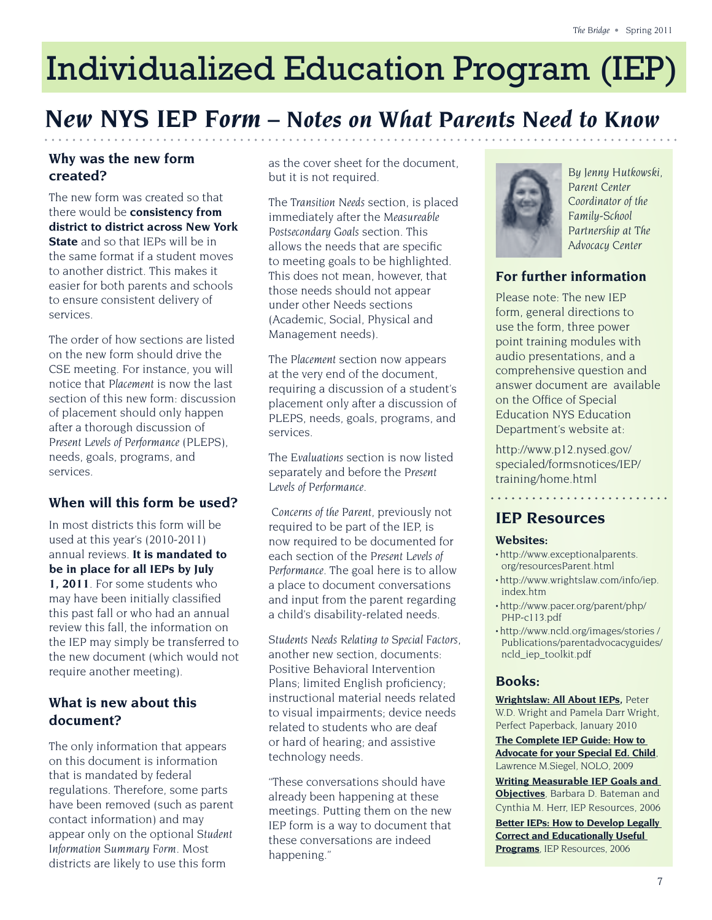# Individualized Education Program (IEP)

# *New NYS IEP Form – Notes on What Parents Need to Know*

## **Why was the new form created?**

The new form was created so that there would be **consistency from district to district across New York State** and so that IEPs will be in the same format if a student moves to another district. This makes it easier for both parents and schools to ensure consistent delivery of services.

The order of how sections are listed on the new form should drive the CSE meeting. For instance, you will notice that *Placement* is now the last section of this new form: discussion of placement should only happen after a thorough discussion of *Present Levels of Performance* (PLEPS), needs, goals, programs, and services.

## **When will this form be used?**

In most districts this form will be used at this year's (2010-2011) annual reviews. **It is mandated to be in place for all IEPs by July 1, 2011**. For some students who may have been initially classi�ed this past fall or who had an annual review this fall, the information on the IEP may simply be transferred to the new document (which would not require another meeting).

## **What is new about this document?**

The only information that appears on this document is information that is mandated by federal regulations. Therefore, some parts have been removed (such as parent contact information) and may appear only on the optional *Student Information Summary Form.* Most districts are likely to use this form

as the cover sheet for the document, but it is not required.

The *Transition Needs* section, is placed immediately after the *Measureable Postsecondary Goals* section. This allows the needs that are specific to meeting goals to be highlighted. This does not mean, however, that those needs should not appear under other Needs sections (Academic, Social, Physical and Management needs).

The *Placement* section now appears at the very end of the document, requiring a discussion of a student's placement only after a discussion of PLEPS, needs, goals, programs, and services.

The *Evaluations* section is now listed separately and before the *Present Levels of Performance.* 

 *Concerns of the Parent*, previously not required to be part of the IEP, is now required to be documented for each section of the *Present Levels of Performance.* The goal here is to allow a place to document conversations and input from the parent regarding a child's disability-related needs.

*Students Needs Relating to Special Factors*, another new section, documents: Positive Behavioral Intervention Plans; limited English proficiency; instructional material needs related to visual impairments; device needs related to students who are deaf or hard of hearing; and assistive technology needs.

"These conversations should have already been happening at these meetings. Putting them on the new IEP form is a way to document that these conversations are indeed happening."



*By Jenny Hutkowski, Parent Center Coordinator of the Family-School Partnership at The Advocacy Center*

## **For further information**

Please note: The new IEP form, general directions to use the form, three power point training modules with audio presentations, and a comprehensive question and answer document are available on the Office of Special Education NYS Education Department's website at:

http://www.p12.nysed.gov/ specialed/formsnotices/IEP/ training/home.html

## **IEP Resources**

#### **Websites:**

- http://www.exceptionalparents. org/resourcesParent.html
- http://www.wrightslaw.com/info/iep. index.htm
- http://www.pacer.org/parent/php/ PHP-c113.pdf
- http://www.ncld.org/images/stories / Publications/parentadvocacyguides/ ncld\_iep\_toolkit.pdf

## **Books:**

**Wrightslaw: All About IEPs,** Peter W.D. Wright and Pamela Darr Wright, Perfect Paperback, January 2010

**The Complete IEP Guide: How to Advocate for your Special Ed. Child**, Lawrence M.Siegel, NOLO, 2009

**Writing Measurable IEP Goals and Objectives**, Barbara D. Bateman and Cynthia M. Herr, IEP Resources, 2006

**Better IEPs: How to Develop Legally Correct and Educationally Useful Programs**, IEP Resources, 2006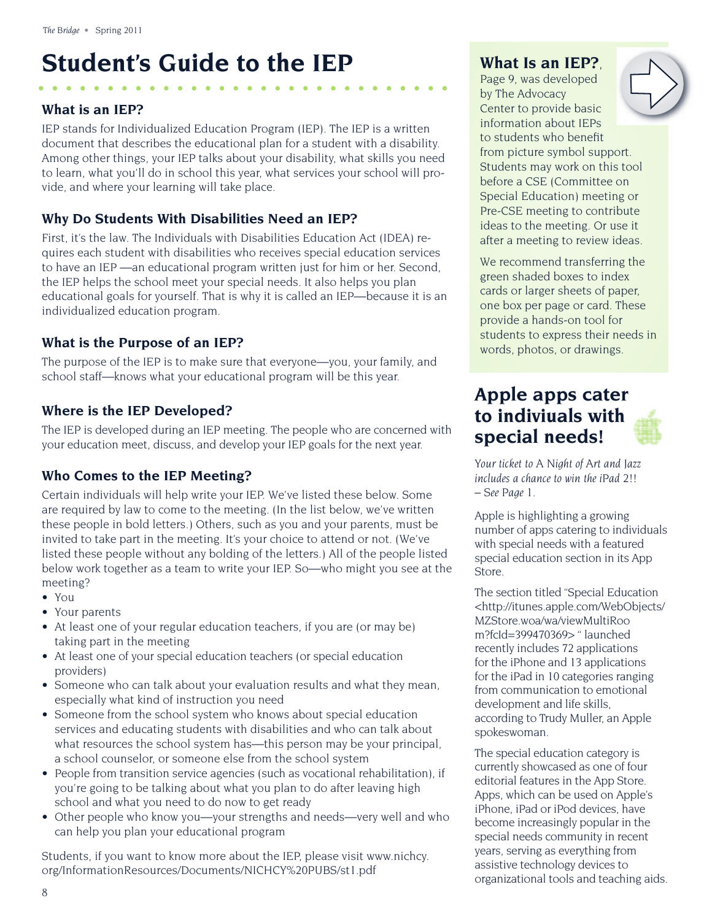# **Student's Guide to the IEP**

#### **What is an IEP?**

IEP stands for Individualized Education Program (IEP). The IEP is a written document that describes the educational plan for a student with a disability. Among other things, your IEP talks about your disability, what skills you need to learn, what you'll do in school this year, what services your school will provide, and where your learning will take place.

### **Why Do Students With Disabilities Need an IEP?**

First, it's the law. The Individuals with Disabilities Education Act (IDEA) requires each student with disabilities who receives special education services to have an IEP —an educational program written just for him or her. Second, the IEP helps the school meet your special needs. It also helps you plan educational goals for yourself. That is why it is called an IEP—because it is an individualized education program.

### **What is the Purpose of an IEP?**

The purpose of the IEP is to make sure that everyone—you, your family, and school staff—knows what your educational program will be this year.

### **Where is the IEP Developed?**

The IEP is developed during an IEP meeting. The people who are concerned with your education meet, discuss, and develop your IEP goals for the next year.

## **Who Comes to the IEP Meeting?**

Certain individuals will help write your IEP. We've listed these below. Some are required by law to come to the meeting. (In the list below, we've written these people in bold letters.) Others, such as you and your parents, must be invited to take part in the meeting. It's your choice to attend or not. (We've listed these people without any bolding of the letters.) All of the people listed below work together as a team to write your IEP. So—who might you see at the meeting?

- You
- Your parents
- At least one of your regular education teachers, if you are (or may be) taking part in the meeting
- At least one of your special education teachers (or special education providers)
- Someone who can talk about your evaluation results and what they mean, especially what kind of instruction you need
- Someone from the school system who knows about special education services and educating students with disabilities and who can talk about what resources the school system has—this person may be your principal, a school counselor, or someone else from the school system
- People from transition service agencies (such as vocational rehabilitation), if you're going to be talking about what you plan to do after leaving high school and what you need to do now to get ready
- Other people who know you—your strengths and needs—very well and who can help you plan your educational program

Students, if you want to know more about the IEP, please visit www.nichcy. org/InformationResources/Documents/NICHCY%20PUBS/st1.pdf

## **What Is an IEP?**,

Page 9, was developed by The Advocacy Center to provide basic information about IEPs to students who benefit from picture symbol support. Students may work on this tool before a CSE (Committee on Special Education) meeting or Pre-CSE meeting to contribute ideas to the meeting. Or use it after a meeting to review ideas.

We recommend transferring the green shaded boxes to index cards or larger sheets of paper, one box per page or card. These provide a hands-on tool for students to express their needs in words, photos, or drawings.

## **Apple apps cater to indiviuals with special needs!**

*Your ticket to A Night of Art and Jazz includes a chance to win the iPad 2!! – See Page 1.* 

Apple is highlighting a growing number of apps catering to individuals with special needs with a featured special education section in its App Store.

The section titled "Special Education <http://itunes.apple.com/WebObjects/ MZStore.woa/wa/viewMultiRoo m?fcId=399470369> " launched recently includes 72 applications for the iPhone and 13 applications for the iPad in 10 categories ranging from communication to emotional development and life skills, according to Trudy Muller, an Apple spokeswoman.

The special education category is currently showcased as one of four editorial features in the App Store. Apps, which can be used on Apple's iPhone, iPad or iPod devices, have become increasingly popular in the special needs community in recent years, serving as everything from assistive technology devices to organizational tools and teaching aids.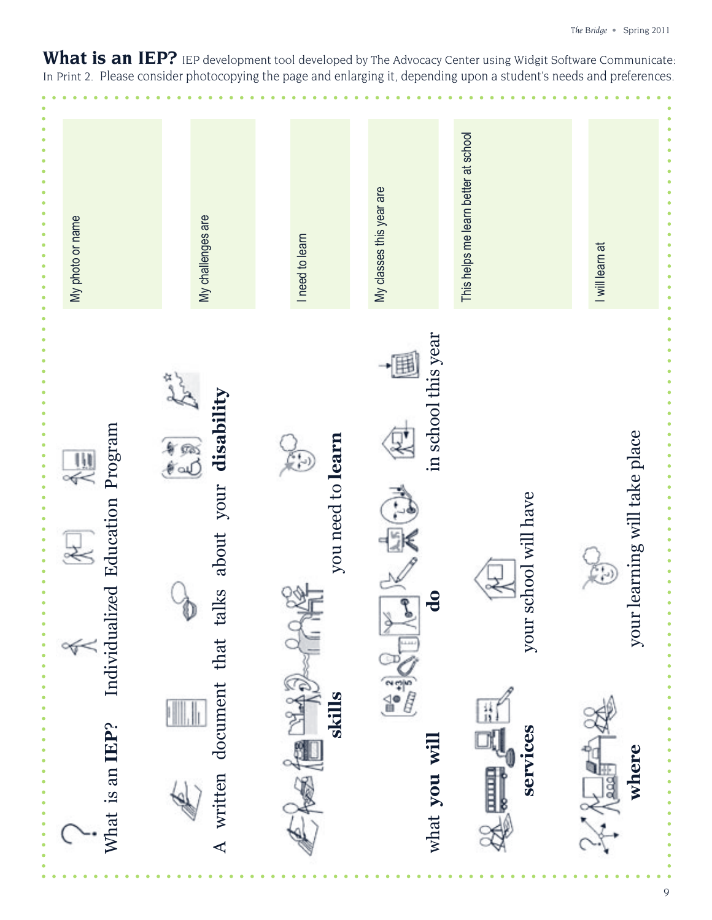What is an IEP? IEP development tool developed by The Advocacy Center using Widgit Software Communicate: In Print 2. Please consider photocopying the page and enlarging it, depending upon a student's needs and preferences.

| My photo or name                                           | My challenges are                                          | I need to learn        | My classes this year are                                       | This helps me learn better at school | I will learn at                         |
|------------------------------------------------------------|------------------------------------------------------------|------------------------|----------------------------------------------------------------|--------------------------------------|-----------------------------------------|
| Individualized Education Program<br>$\frac{111}{111}$<br>¥ | disability<br>$\frac{6}{5}$<br>about your<br>talks<br>that | you need to learn<br>G | in school this year<br>$\overline{\mathbf{d}}$<br><b>BEACH</b> | school will have<br>your             | .<br>your learning will take place<br>. |
| What is an IEP?                                            | document<br>A written                                      | EKENS<br>skills        | what you will                                                  | services<br>E                        | 34 福雪线<br>where                         |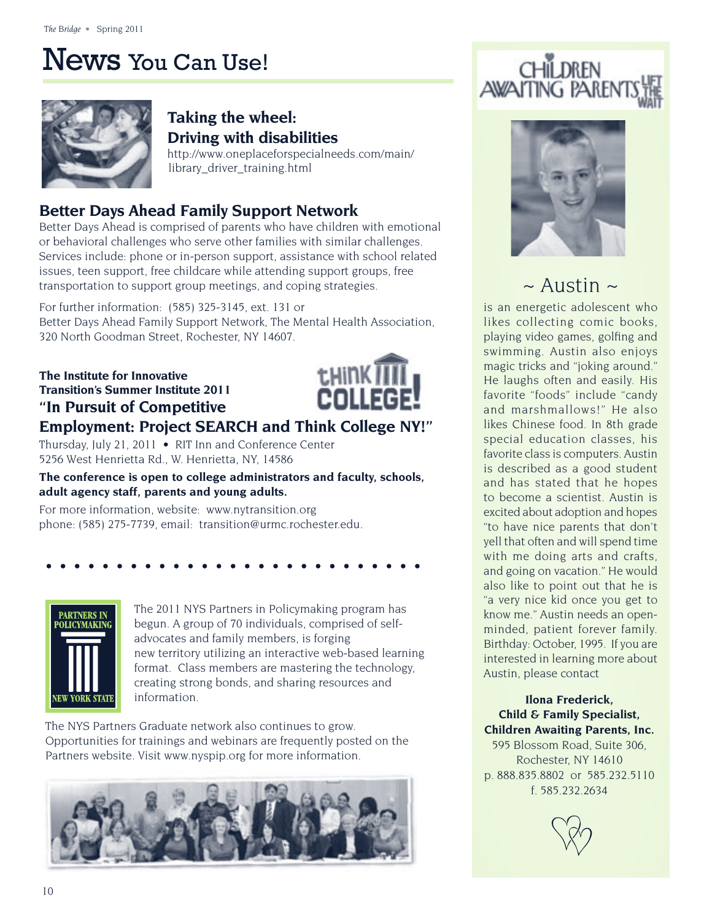# News You Can Use!



## **Taking the wheel: Driving with disabilities**

http://www.oneplaceforspecialneeds.com/main/ library\_driver\_training.html

## **Better Days Ahead Family Support Network**

Better Days Ahead is comprised of parents who have children with emotional or behavioral challenges who serve other families with similar challenges. Services include: phone or in-person support, assistance with school related issues, teen support, free childcare while attending support groups, free transportation to support group meetings, and coping strategies.

For further information: (585) 325-3145, ext. 131 or Better Days Ahead Family Support Network, The Mental Health Association, 320 North Goodman Street, Rochester, NY 14607.

**The Institute for Innovative Transition's Summer Institute 2011 "In Pursuit of Competitive** 



## **Employment: Project SEARCH and Think College NY!"**

Thursday, July 21, 2011 • RIT Inn and Conference Center 5256 West Henrietta Rd., W. Henrietta, NY, 14586

**The conference is open to college administrators and faculty, schools, adult agency staff, parents and young adults.**

For more information, website: www.nytransition.org phone: (585) 275-7739, email: transition@urmc.rochester.edu.



The 2011 NYS Partners in Policymaking program has begun. A group of 70 individuals, comprised of selfadvocates and family members, is forging new territory utilizing an interactive web-based learning format. Class members are mastering the technology, creating strong bonds, and sharing resources and information.

The NYS Partners Graduate network also continues to grow. Opportunities for trainings and webinars are frequently posted on the Partners website. Visit www.nyspip.org for more information.







# $\sim$  Austin  $\sim$

is an energetic adolescent who likes collecting comic books, playing video games, golfing and swimming. Austin also enjoys magic tricks and "joking around." He laughs often and easily. His favorite "foods" include "candy and marshmallows!" He also likes Chinese food. In 8th grade special education classes, his favorite class is computers. Austin is described as a good student and has stated that he hopes to become a scientist. Austin is excited about adoption and hopes "to have nice parents that don't yell that often and will spend time with me doing arts and crafts, and going on vacation." He would also like to point out that he is "a very nice kid once you get to know me." Austin needs an openminded, patient forever family. Birthday: October, 1995. If you are interested in learning more about Austin, please contact

#### **Ilona Frederick, Child & Family Specialist, Children Awaiting Parents, Inc.**

595 Blossom Road, Suite 306, Rochester, NY 14610 p. 888.835.8802 or 585.232.5110 f. 585.232.2634

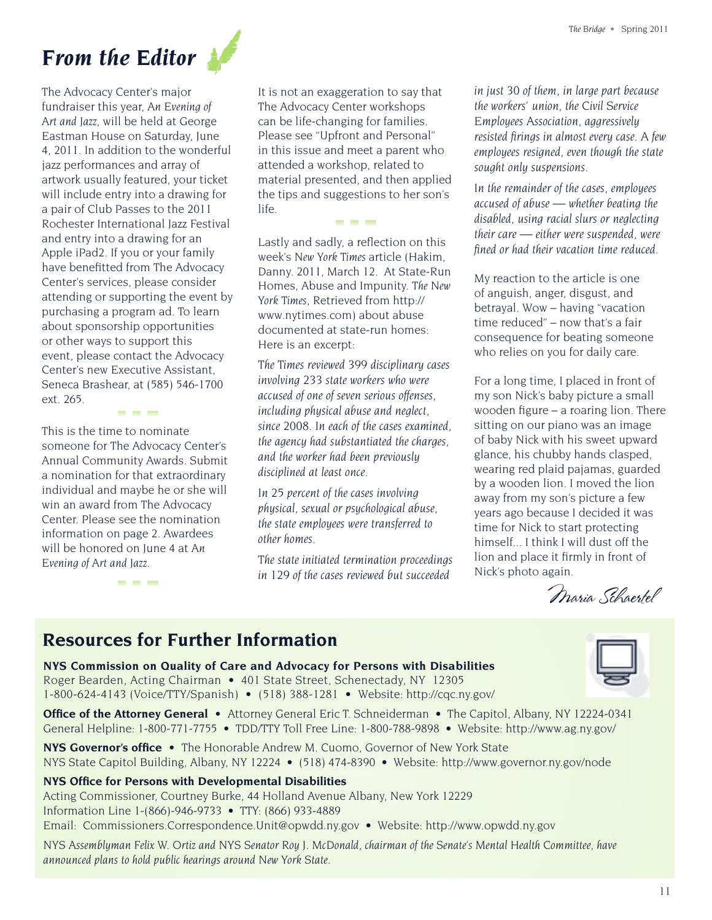# *From the Editor*

The Advocacy Center's major fundraiser this year, *An Evening of Art and Jazz*, will be held at George Eastman House on Saturday, June 4, 2011. In addition to the wonderful jazz performances and array of artwork usually featured, your ticket will include entry into a drawing for a pair of Club Passes to the 2011 Rochester International Jazz Festival and entry into a drawing for an Apple iPad2. If you or your family have benefitted from The Advocacy Center's services, please consider attending or supporting the event by purchasing a program ad. To learn about sponsorship opportunities or other ways to support this event, please contact the Advocacy Center's new Executive Assistant, Seneca Brashear, at (585) 546-1700 ext. 265.

This is the time to nominate someone for The Advocacy Center's Annual Community Awards. Submit a nomination for that extraordinary individual and maybe he or she will win an award from The Advocacy Center. Please see the nomination information on page 2. Awardees will be honored on June 4 at *An Evening of Art and Jazz*.

---

---

It is not an exaggeration to say that The Advocacy Center workshops can be life-changing for families. Please see "Upfront and Personal" in this issue and meet a parent who attended a workshop, related to material presented, and then applied the tips and suggestions to her son's life.

---

Lastly and sadly, a reflection on this week's *New York Times* article (Hakim, Danny. 2011, March 12. At State-Run Homes, Abuse and Impunity. *The New York Times,* Retrieved from http:// www.nytimes.com) about abuse documented at state-run homes: Here is an excerpt:

*The Times reviewed 399 disciplinary cases involving 233 state workers who were accused of one of seven serious offenses, including physical abuse and neglect, since 2008. In each of the cases examined, the agency had substantiated the charges, and the worker had been previously disciplined at least once.* 

*In 25 percent of the cases involving physical, sexual or psychological abuse, the state employees were transferred to other homes.* 

*The state initiated termination proceedings in 129 of the cases reviewed but succeeded* 

*in just 30 of them, in large part because the workers' union, the Civil Service Employees Association, aggressively resisted firings in almost every case. A few employees resigned, even though the state sought only suspensions.* 

*In the remainder of the cases, employees accused of abuse — whether beating the disabled, using racial slurs or neglecting their care — either were suspended, were � ned or had their vacation time reduced.* 

My reaction to the article is one of anguish, anger, disgust, and betrayal. Wow – having "vacation time reduced" – now that's a fair consequence for beating someone who relies on you for daily care.

For a long time, I placed in front of my son Nick's baby picture a small wooden figure  $-$  a roaring lion. There sitting on our piano was an image of baby Nick with his sweet upward glance, his chubby hands clasped, wearing red plaid pajamas, guarded by a wooden lion. I moved the lion away from my son's picture a few years ago because I decided it was time for Nick to start protecting himself... I think I will dust off the lion and place it firmly in front of Nick's photo again.

Maria Schaertel

# **Resources for Further Information**

**NYS Commission on Quality of Care and Advocacy for Persons with Disabilities** Roger Bearden, Acting Chairman • 401 State Street, Schenectady, NY 12305 1-800-624-4143 (Voice/TTY/Spanish) • (518) 388-1281 • Website: http://cqc.ny.gov/

**Office of the Attorney General •** Attorney General Eric T. Schneiderman • The Capitol, Albany, NY 12224-0341 General Helpline: 1-800-771-7755 • TDD/TTY Toll Free Line: 1-800-788-9898 • Website: http://www.ag.ny.gov/

**NYS Governor's office •** The Honorable Andrew M. Cuomo, Governor of New York State NYS State Capitol Building, Albany, NY 12224 • (518) 474-8390 • Website: http://www.governor.ny.gov/node

#### **NYS Office for Persons with Developmental Disabilities**

Acting Commissioner, Courtney Burke, 44 Holland Avenue Albany, New York 12229 Information Line 1-(866)-946-9733 • TTY: (866) 933-4889 Email: Commissioners.Correspondence.Unit@opwdd.ny.gov • Website: http://www.opwdd.ny.gov

*NYS Assemblyman Felix W. Ortiz and NYS Senator Roy J. McDonald, chairman of the Senate's Mental Health Committee, have announced plans to hold public hearings around New York State.*